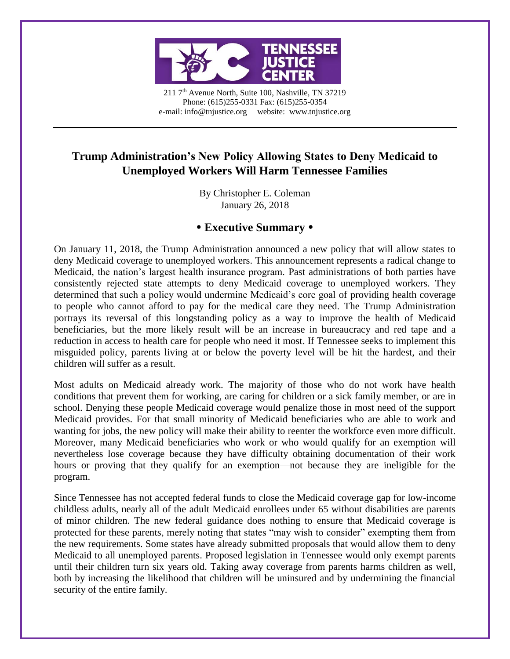

211 7<sup>th</sup> Avenue North, Suite 100, Nashville, TN 37219 Phone: (615)255-0331 Fax: (615)255-0354 e-mail: info@tnjustice.org website: www.tnjustice.org

# **Trump Administration's New Policy Allowing States to Deny Medicaid to Unemployed Workers Will Harm Tennessee Families**

By Christopher E. Coleman January 26, 2018

## **Executive Summary**

On January 11, 2018, the Trump Administration announced a new policy that will allow states to deny Medicaid coverage to unemployed workers. This announcement represents a radical change to Medicaid, the nation's largest health insurance program. Past administrations of both parties have consistently rejected state attempts to deny Medicaid coverage to unemployed workers. They determined that such a policy would undermine Medicaid's core goal of providing health coverage to people who cannot afford to pay for the medical care they need. The Trump Administration portrays its reversal of this longstanding policy as a way to improve the health of Medicaid beneficiaries, but the more likely result will be an increase in bureaucracy and red tape and a reduction in access to health care for people who need it most. If Tennessee seeks to implement this misguided policy, parents living at or below the poverty level will be hit the hardest, and their children will suffer as a result.

Most adults on Medicaid already work. The majority of those who do not work have health conditions that prevent them for working, are caring for children or a sick family member, or are in school. Denying these people Medicaid coverage would penalize those in most need of the support Medicaid provides. For that small minority of Medicaid beneficiaries who are able to work and wanting for jobs, the new policy will make their ability to reenter the workforce even more difficult. Moreover, many Medicaid beneficiaries who work or who would qualify for an exemption will nevertheless lose coverage because they have difficulty obtaining documentation of their work hours or proving that they qualify for an exemption—not because they are ineligible for the program.

Since Tennessee has not accepted federal funds to close the Medicaid coverage gap for low-income childless adults, nearly all of the adult Medicaid enrollees under 65 without disabilities are parents of minor children. The new federal guidance does nothing to ensure that Medicaid coverage is protected for these parents, merely noting that states "may wish to consider" exempting them from the new requirements. Some states have already submitted proposals that would allow them to deny Medicaid to all unemployed parents. Proposed legislation in Tennessee would only exempt parents until their children turn six years old. Taking away coverage from parents harms children as well, both by increasing the likelihood that children will be uninsured and by undermining the financial security of the entire family.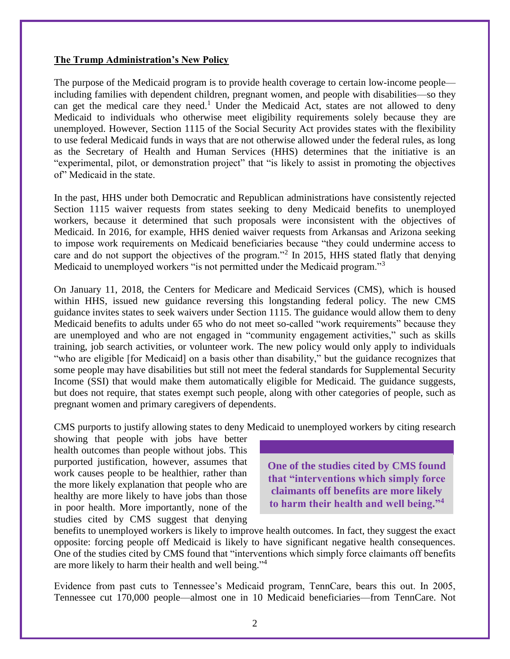#### **The Trump Administration's New Policy**

The purpose of the Medicaid program is to provide health coverage to certain low-income people including families with dependent children, pregnant women, and people with disabilities—so they can get the medical care they need.<sup>1</sup> Under the Medicaid Act, states are not allowed to deny Medicaid to individuals who otherwise meet eligibility requirements solely because they are unemployed. However, Section 1115 of the Social Security Act provides states with the flexibility to use federal Medicaid funds in ways that are not otherwise allowed under the federal rules, as long as the Secretary of Health and Human Services (HHS) determines that the initiative is an "experimental, pilot, or demonstration project" that "is likely to assist in promoting the objectives of" Medicaid in the state.

In the past, HHS under both Democratic and Republican administrations have consistently rejected Section 1115 waiver requests from states seeking to deny Medicaid benefits to unemployed workers, because it determined that such proposals were inconsistent with the objectives of Medicaid. In 2016, for example, HHS denied waiver requests from Arkansas and Arizona seeking to impose work requirements on Medicaid beneficiaries because "they could undermine access to care and do not support the objectives of the program."<sup>2</sup> In 2015, HHS stated flatly that denying Medicaid to unemployed workers "is not permitted under the Medicaid program."<sup>3</sup>

On January 11, 2018, the Centers for Medicare and Medicaid Services (CMS), which is housed within HHS, issued new guidance reversing this longstanding federal policy. The new CMS guidance invites states to seek waivers under Section 1115. The guidance would allow them to deny Medicaid benefits to adults under 65 who do not meet so-called "work requirements" because they are unemployed and who are not engaged in "community engagement activities," such as skills training, job search activities, or volunteer work. The new policy would only apply to individuals "who are eligible [for Medicaid] on a basis other than disability," but the guidance recognizes that some people may have disabilities but still not meet the federal standards for Supplemental Security Income (SSI) that would make them automatically eligible for Medicaid. The guidance suggests, but does not require, that states exempt such people, along with other categories of people, such as pregnant women and primary caregivers of dependents.

CMS purports to justify allowing states to deny Medicaid to unemployed workers by citing research

showing that people with jobs have better health outcomes than people without jobs. This purported justification, however, assumes that work causes people to be healthier, rather than the more likely explanation that people who are healthy are more likely to have jobs than those in poor health. More importantly, none of the studies cited by CMS suggest that denying

**One of the studies cited by CMS found that "interventions which simply force claimants off benefits are more likely to harm their health and well being."4**

benefits to unemployed workers is likely to improve health outcomes. In fact, they suggest the exact opposite: forcing people off Medicaid is likely to have significant negative health consequences. One of the studies cited by CMS found that "interventions which simply force claimants off benefits are more likely to harm their health and well being." 4

Evidence from past cuts to Tennessee's Medicaid program, TennCare, bears this out. In 2005, Tennessee cut 170,000 people—almost one in 10 Medicaid beneficiaries—from TennCare. Not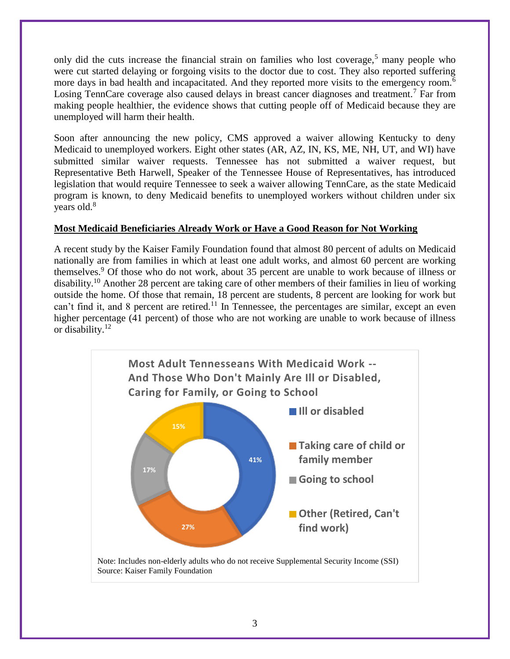only did the cuts increase the financial strain on families who lost coverage,<sup>5</sup> many people who were cut started delaying or forgoing visits to the doctor due to cost. They also reported suffering more days in bad health and incapacitated. And they reported more visits to the emergency room.<sup>6</sup> Losing TennCare coverage also caused delays in breast cancer diagnoses and treatment.<sup>7</sup> Far from making people healthier, the evidence shows that cutting people off of Medicaid because they are unemployed will harm their health.

Soon after announcing the new policy, CMS approved a waiver allowing Kentucky to deny Medicaid to unemployed workers. Eight other states (AR, AZ, IN, KS, ME, NH, UT, and WI) have submitted similar waiver requests. Tennessee has not submitted a waiver request, but Representative Beth Harwell, Speaker of the Tennessee House of Representatives, has introduced legislation that would require Tennessee to seek a waiver allowing TennCare, as the state Medicaid program is known, to deny Medicaid benefits to unemployed workers without children under six years old.<sup>8</sup>

### **Most Medicaid Beneficiaries Already Work or Have a Good Reason for Not Working**

A recent study by the Kaiser Family Foundation found that almost 80 percent of adults on Medicaid nationally are from families in which at least one adult works, and almost 60 percent are working themselves. <sup>9</sup> Of those who do not work, about 35 percent are unable to work because of illness or disability.<sup>10</sup> Another 28 percent are taking care of other members of their families in lieu of working outside the home. Of those that remain, 18 percent are students, 8 percent are looking for work but can't find it, and 8 percent are retired.<sup>11</sup> In Tennessee, the percentages are similar, except an even higher percentage (41 percent) of those who are not working are unable to work because of illness or disability. 12

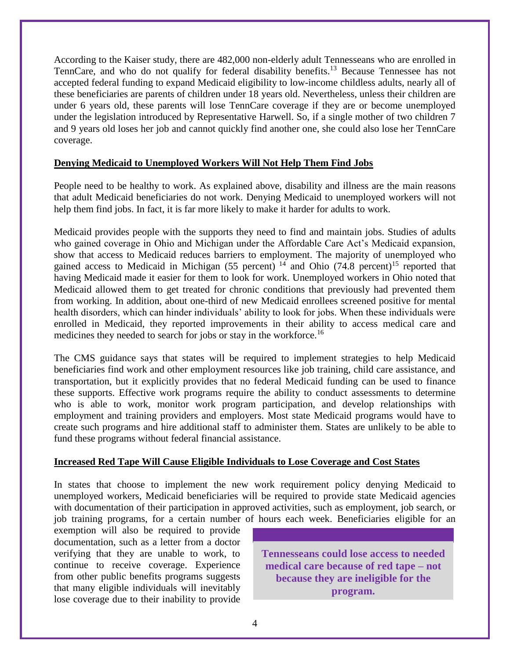According to the Kaiser study, there are 482,000 non-elderly adult Tennesseans who are enrolled in TennCare, and who do not qualify for federal disability benefits.<sup>13</sup> Because Tennessee has not accepted federal funding to expand Medicaid eligibility to low-income childless adults, nearly all of these beneficiaries are parents of children under 18 years old. Nevertheless, unless their children are under 6 years old, these parents will lose TennCare coverage if they are or become unemployed under the legislation introduced by Representative Harwell. So, if a single mother of two children 7 and 9 years old loses her job and cannot quickly find another one, she could also lose her TennCare coverage.

#### **Denying Medicaid to Unemployed Workers Will Not Help Them Find Jobs**

People need to be healthy to work. As explained above, disability and illness are the main reasons that adult Medicaid beneficiaries do not work. Denying Medicaid to unemployed workers will not help them find jobs. In fact, it is far more likely to make it harder for adults to work.

Medicaid provides people with the supports they need to find and maintain jobs. Studies of adults who gained coverage in Ohio and Michigan under the Affordable Care Act's Medicaid expansion, show that access to Medicaid reduces barriers to employment. The majority of unemployed who gained access to Medicaid in Michigan (55 percent)<sup>14</sup> and Ohio (74.8 percent)<sup>15</sup> reported that having Medicaid made it easier for them to look for work. Unemployed workers in Ohio noted that Medicaid allowed them to get treated for chronic conditions that previously had prevented them from working. In addition, about one-third of new Medicaid enrollees screened positive for mental health disorders, which can hinder individuals' ability to look for jobs. When these individuals were enrolled in Medicaid, they reported improvements in their ability to access medical care and medicines they needed to search for jobs or stay in the workforce.<sup>16</sup>

The CMS guidance says that states will be required to implement strategies to help Medicaid beneficiaries find work and other employment resources like job training, child care assistance, and transportation, but it explicitly provides that no federal Medicaid funding can be used to finance these supports. Effective work programs require the ability to conduct assessments to determine who is able to work, monitor work program participation, and develop relationships with employment and training providers and employers. Most state Medicaid programs would have to create such programs and hire additional staff to administer them. States are unlikely to be able to fund these programs without federal financial assistance.

#### **Increased Red Tape Will Cause Eligible Individuals to Lose Coverage and Cost States**

In states that choose to implement the new work requirement policy denying Medicaid to unemployed workers, Medicaid beneficiaries will be required to provide state Medicaid agencies with documentation of their participation in approved activities, such as employment, job search, or job training programs, for a certain number of hours each week. Beneficiaries eligible for an

exemption will also be required to provide documentation, such as a letter from a doctor verifying that they are unable to work, to continue to receive coverage. Experience from other public benefits programs suggests that many eligible individuals will inevitably lose coverage due to their inability to provide

**Tennesseans could lose access to needed medical care because of red tape – not because they are ineligible for the program.**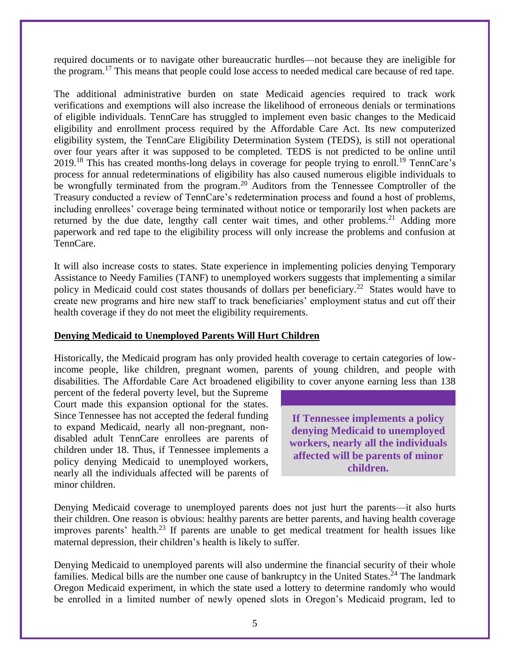required documents or to navigate other bureaucratic hurdles—not because they are ineligible for the program.<sup>17</sup> This means that people could lose access to needed medical care because of red tape.

The additional administrative burden on state Medicaid agencies required to track work verifications and exemptions will also increase the likelihood of erroneous denials or terminations of eligible individuals. TennCare has struggled to implement even basic changes to the Medicaid eligibility and enrollment process required by the Affordable Care Act. Its new computerized eligibility system, the TennCare Eligibility Determination System (TEDS), is still not operational over four years after it was supposed to be completed. TEDS is not predicted to be online until 2019.<sup>18</sup> This has created months-long delays in coverage for people trying to enroll.<sup>19</sup> TennCare's process for annual redeterminations of eligibility has also caused numerous eligible individuals to be wrongfully terminated from the program.<sup>20</sup> Auditors from the Tennessee Comptroller of the Treasury conducted a review of TennCare's redetermination process and found a host of problems, including enrollees' coverage being terminated without notice or temporarily lost when packets are returned by the due date, lengthy call center wait times, and other problems.<sup>21</sup> Adding more paperwork and red tape to the eligibility process will only increase the problems and confusion at TennCare.

It will also increase costs to states. State experience in implementing policies denying Temporary Assistance to Needy Families (TANF) to unemployed workers suggests that implementing a similar policy in Medicaid could cost states thousands of dollars per beneficiary.<sup>22</sup> States would have to create new programs and hire new staff to track beneficiaries' employment status and cut off their health coverage if they do not meet the eligibility requirements.

#### **Denying Medicaid to Unemployed Parents Will Hurt Children**

Historically, the Medicaid program has only provided health coverage to certain categories of lowincome people, like children, pregnant women, parents of young children, and people with disabilities. The Affordable Care Act broadened eligibility to cover anyone earning less than 138

percent of the federal poverty level, but the Supreme Court made this expansion optional for the states. Since Tennessee has not accepted the federal funding to expand Medicaid, nearly all non-pregnant, nondisabled adult TennCare enrollees are parents of children under 18. Thus, if Tennessee implements a policy denying Medicaid to unemployed workers, nearly all the individuals affected will be parents of minor children.

**If Tennessee implements a policy denying Medicaid to unemployed workers, nearly all the individuals affected will be parents of minor children.**

Denying Medicaid coverage to unemployed parents does not just hurt the parents—it also hurts their children. One reason is obvious: healthy parents are better parents, and having health coverage improves parents' health.<sup>23</sup> If parents are unable to get medical treatment for health issues like maternal depression, their children's health is likely to suffer.

Denying Medicaid to unemployed parents will also undermine the financial security of their whole families. Medical bills are the number one cause of bankruptcy in the United States.<sup>24</sup> The landmark Oregon Medicaid experiment, in which the state used a lottery to determine randomly who would be enrolled in a limited number of newly opened slots in Oregon's Medicaid program, led to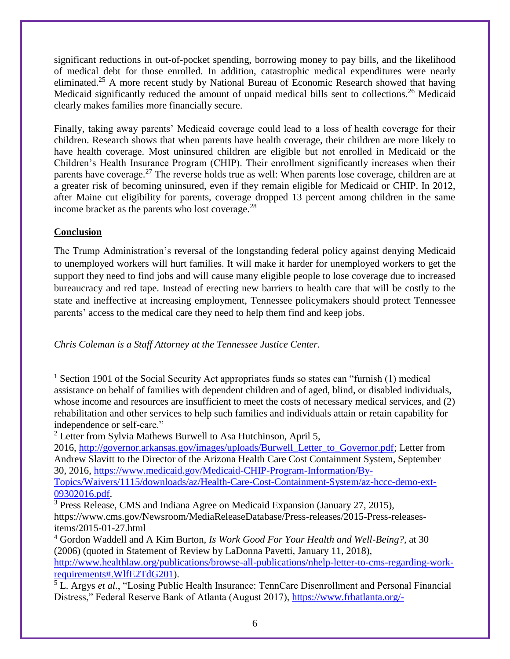significant reductions in out-of-pocket spending, borrowing money to pay bills, and the likelihood of medical debt for those enrolled. In addition, catastrophic medical expenditures were nearly eliminated.<sup>25</sup> A more recent study by National Bureau of Economic Research showed that having Medicaid significantly reduced the amount of unpaid medical bills sent to collections.<sup>26</sup> Medicaid clearly makes families more financially secure.

Finally, taking away parents' Medicaid coverage could lead to a loss of health coverage for their children. Research shows that when parents have health coverage, their children are more likely to have health coverage. Most uninsured children are eligible but not enrolled in Medicaid or the Children's Health Insurance Program (CHIP). Their enrollment significantly increases when their parents have coverage.<sup>27</sup> The reverse holds true as well: When parents lose coverage, children are at a greater risk of becoming uninsured, even if they remain eligible for Medicaid or CHIP. In 2012, after Maine cut eligibility for parents, coverage dropped 13 percent among children in the same income bracket as the parents who lost coverage. $^{28}$ 

## **Conclusion**

L,

The Trump Administration's reversal of the longstanding federal policy against denying Medicaid to unemployed workers will hurt families. It will make it harder for unemployed workers to get the support they need to find jobs and will cause many eligible people to lose coverage due to increased bureaucracy and red tape. Instead of erecting new barriers to health care that will be costly to the state and ineffective at increasing employment, Tennessee policymakers should protect Tennessee parents' access to the medical care they need to help them find and keep jobs.

*Chris Coleman is a Staff Attorney at the Tennessee Justice Center.* 

<sup>&</sup>lt;sup>1</sup> Section 1901 of the Social Security Act appropriates funds so states can "furnish  $(1)$  medical assistance on behalf of families with dependent children and of aged, blind, or disabled individuals, whose income and resources are insufficient to meet the costs of necessary medical services, and (2) rehabilitation and other services to help such families and individuals attain or retain capability for independence or self-care."

<sup>&</sup>lt;sup>2</sup> Letter from Sylvia Mathews Burwell to Asa Hutchinson, April 5,

<sup>2016,</sup> [http://governor.arkansas.gov/images/uploads/Burwell\\_Letter\\_to\\_Governor.pdf;](http://governor.arkansas.gov/images/uploads/Burwell_Letter_to_Governor.pdf) Letter from Andrew Slavitt to the Director of the Arizona Health Care Cost Containment System, September 30, 2016, [https://www.medicaid.gov/Medicaid-CHIP-Program-Information/By-](https://www.medicaid.gov/Medicaid-CHIP-Program-Information/By-Topics/Waivers/1115/downloads/az/Health-Care-Cost-Containment-System/az-hccc-demo-ext-09302016.pdf)

[Topics/Waivers/1115/downloads/az/Health-Care-Cost-Containment-System/az-hccc-demo-ext-](https://www.medicaid.gov/Medicaid-CHIP-Program-Information/By-Topics/Waivers/1115/downloads/az/Health-Care-Cost-Containment-System/az-hccc-demo-ext-09302016.pdf)[09302016.pdf.](https://www.medicaid.gov/Medicaid-CHIP-Program-Information/By-Topics/Waivers/1115/downloads/az/Health-Care-Cost-Containment-System/az-hccc-demo-ext-09302016.pdf)

<sup>&</sup>lt;sup>3</sup> Press Release, CMS and Indiana Agree on Medicaid Expansion (January 27, 2015), https://www.cms.gov/Newsroom/MediaReleaseDatabase/Press-releases/2015-Press-releasesitems/2015-01-27.html

<sup>4</sup> Gordon Waddell and A Kim Burton, *Is Work Good For Your Health and Well-Being?*, at 30 (2006) (quoted in Statement of Review by LaDonna Pavetti, January 11, 2018),

[http://www.healthlaw.org/publications/browse-all-publications/nhelp-letter-to-cms-regarding-work](http://www.healthlaw.org/publications/browse-all-publications/nhelp-letter-to-cms-regarding-work-requirements#.WlfE2TdG201)[requirements#.WlfE2TdG201\)](http://www.healthlaw.org/publications/browse-all-publications/nhelp-letter-to-cms-regarding-work-requirements#.WlfE2TdG201).

<sup>5</sup> L. Argys *et al.*, "Losing Public Health Insurance: TennCare Disenrollment and Personal Financial Distress," Federal Reserve Bank of Atlanta (August 2017), [https://www.frbatlanta.org/-](https://www.frbatlanta.org/-/media/documents/research/publications/wp/2017/06-losing-public-health-insurance-2017-08-31.pdf)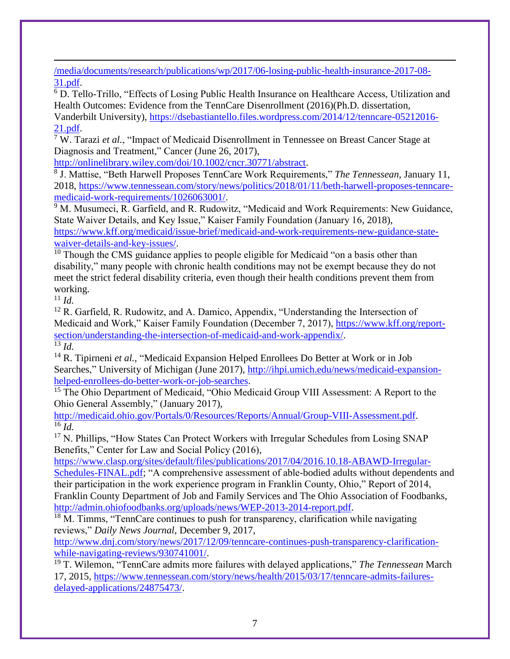[/media/documents/research/publications/wp/2017/06-losing-public-health-insurance-2017-08-](https://www.frbatlanta.org/-/media/documents/research/publications/wp/2017/06-losing-public-health-insurance-2017-08-31.pdf) [31.pdf.](https://www.frbatlanta.org/-/media/documents/research/publications/wp/2017/06-losing-public-health-insurance-2017-08-31.pdf)

<sup>6</sup> D. Tello-Trillo, "Effects of Losing Public Health Insurance on Healthcare Access, Utilization and Health Outcomes: Evidence from the TennCare Disenrollment (2016)(Ph.D. dissertation,

Vanderbilt University), [https://dsebastiantello.files.wordpress.com/2014/12/tenncare-05212016-](https://dsebastiantello.files.wordpress.com/2014/12/tenncare-05212016-21.pdf) [21.pdf.](https://dsebastiantello.files.wordpress.com/2014/12/tenncare-05212016-21.pdf)

<sup>7</sup> W. Tarazi *et al.*, "Impact of Medicaid Disenrollment in Tennessee on Breast Cancer Stage at Diagnosis and Treatment," Cancer (June 26, 2017),

[http://onlinelibrary.wiley.com/doi/10.1002/cncr.30771/abstract.](http://onlinelibrary.wiley.com/doi/10.1002/cncr.30771/abstract)

8 J. Mattise, "Beth Harwell Proposes TennCare Work Requirements," *The Tennessean,* January 11, 2018, [https://www.tennessean.com/story/news/politics/2018/01/11/beth-harwell-proposes-tenncare](https://www.tennessean.com/story/news/politics/2018/01/11/beth-harwell-proposes-tenncare-medicaid-work-requirements/1026063001/)[medicaid-work-requirements/1026063001/.](https://www.tennessean.com/story/news/politics/2018/01/11/beth-harwell-proposes-tenncare-medicaid-work-requirements/1026063001/)

<sup>9</sup> M. Musumeci, R. Garfield, and R. Rudowitz, "Medicaid and Work Requirements: New Guidance, State Waiver Details, and Key Issue," Kaiser Family Foundation (January 16, 2018),

[https://www.kff.org/medicaid/issue-brief/medicaid-and-work-requirements-new-guidance-state](https://www.kff.org/medicaid/issue-brief/medicaid-and-work-requirements-new-guidance-state-waiver-details-and-key-issues/)[waiver-details-and-key-issues/.](https://www.kff.org/medicaid/issue-brief/medicaid-and-work-requirements-new-guidance-state-waiver-details-and-key-issues/)

 $10$  Though the CMS guidance applies to people eligible for Medicaid "on a basis other than disability," many people with chronic health conditions may not be exempt because they do not meet the strict federal disability criteria, even though their health conditions prevent them from working.

 $^{11}$  *Id.* 

—<br>—

<sup>12</sup> R. Garfield, R. Rudowitz, and A. Damico, Appendix, "Understanding the Intersection of Medicaid and Work," Kaiser Family Foundation (December 7, 2017), [https://www.kff.org/report](https://www.kff.org/report-section/understanding-the-intersection-of-medicaid-and-work-appendix/)[section/understanding-the-intersection-of-medicaid-and-work-appendix/.](https://www.kff.org/report-section/understanding-the-intersection-of-medicaid-and-work-appendix/)  $\overline{\frac{13}{13}}\overline{Id}$ .

<sup>14</sup> R. Tipirneni *et al.*, "Medicaid Expansion Helped Enrollees Do Better at Work or in Job Searches," University of Michigan (June 2017), [http://ihpi.umich.edu/news/medicaid-expansion](http://ihpi.umich.edu/news/medicaid-expansion-helped-enrollees-do-better-work-or-job-searches)[helped-enrollees-do-better-work-or-job-searches.](http://ihpi.umich.edu/news/medicaid-expansion-helped-enrollees-do-better-work-or-job-searches)

<sup>15</sup> The Ohio Department of Medicaid, "Ohio Medicaid Group VIII Assessment: A Report to the Ohio General Assembly," (January 2017),

[http://medicaid.ohio.gov/Portals/0/Resources/Reports/Annual/Group-VIII-Assessment.pdf.](http://medicaid.ohio.gov/Portals/0/Resources/Reports/Annual/Group-VIII-Assessment.pdf)  $\overline{16}$   $\overline{Id}$ .

<sup>17</sup> N. Phillips, "How States Can Protect Workers with Irregular Schedules from Losing SNAP Benefits," Center for Law and Social Policy (2016),

[https://www.clasp.org/sites/default/files/publications/2017/04/2016.10.18-ABAWD-Irregular-](https://www.clasp.org/sites/default/files/publications/2017/04/2016.10.18-ABAWD-Irregular-Schedules-FINAL.pdf)[Schedules-FINAL.pdf;](https://www.clasp.org/sites/default/files/publications/2017/04/2016.10.18-ABAWD-Irregular-Schedules-FINAL.pdf) "A comprehensive assessment of able-bodied adults without dependents and their participation in the work experience program in Franklin County, Ohio," Report of 2014, Franklin County Department of Job and Family Services and The Ohio Association of Foodbanks, [http://admin.ohiofoodbanks.org/uploads/news/WEP-2013-2014-report.pdf.](http://admin.ohiofoodbanks.org/uploads/news/WEP-2013-2014-report.pdf)

<sup>18</sup> M. Timms, "TennCare continues to push for transparency, clarification while navigating reviews," *Daily News Journal*, December 9, 2017,

[http://www.dnj.com/story/news/2017/12/09/tenncare-continues-push-transparency-clarification](http://www.dnj.com/story/news/2017/12/09/tenncare-continues-push-transparency-clarification-while-navigating-reviews/930741001/)[while-navigating-reviews/930741001/.](http://www.dnj.com/story/news/2017/12/09/tenncare-continues-push-transparency-clarification-while-navigating-reviews/930741001/)

<sup>19</sup> T. Wilemon, "TennCare admits more failures with delayed applications," *The Tennessean* March 17, 2015, [https://www.tennessean.com/story/news/health/2015/03/17/tenncare-admits-failures](https://www.tennessean.com/story/news/health/2015/03/17/tenncare-admits-failures-delayed-applications/24875473/)[delayed-applications/24875473/.](https://www.tennessean.com/story/news/health/2015/03/17/tenncare-admits-failures-delayed-applications/24875473/)